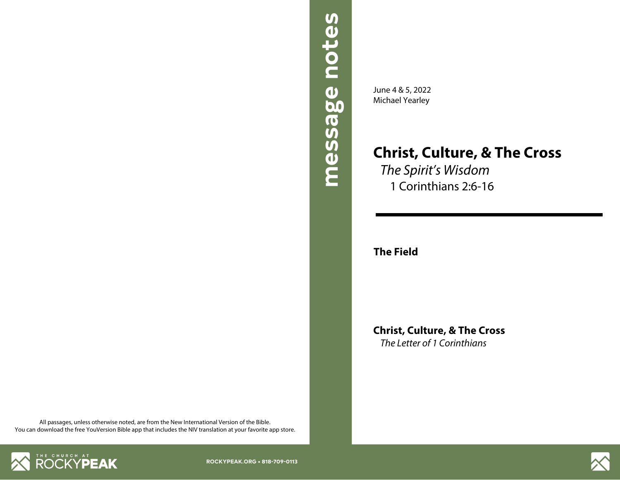

June 4 & 5, 2022 Michael Yearley

## **Christ, Culture, & The Cross**

*The Spirit's Wisdom* 1 Corinthians 2:6-16

**The Field**

**Christ, Culture, & The Cross** *The Letter of 1 Corinthians*

All passages, unless otherwise noted, are from the New International Version of the Bible. You can download the free YouVersion Bible app that includes the NIV translation at your favorite app store.